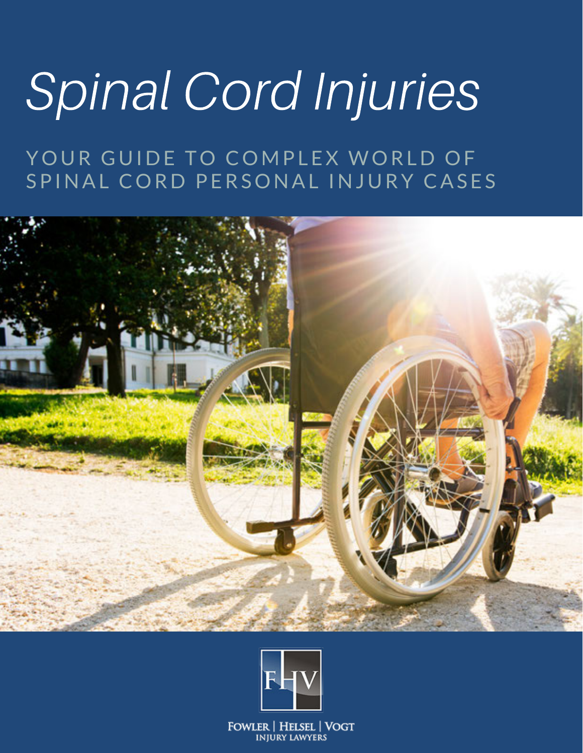# Spinal Cord Injuries

YOUR GUIDE TO COMPLEX WORLD OF SPINAL CORD PERSONAL INJURY CASES





**FOWLER | HELSEL | VOGT INJURY LAWYERS**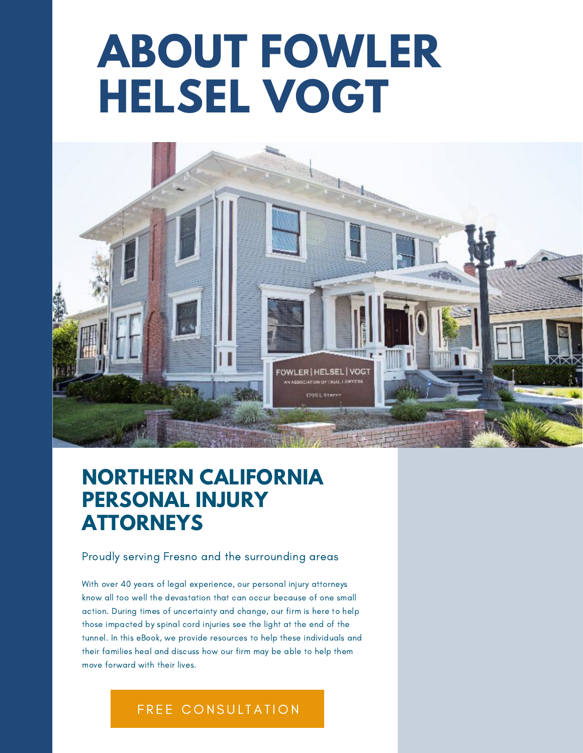# **ABOUT FOWLER HELSEL VOGT**



## **NORTHERN CALIFORNIA PERSONAL INJURY ATTORNEYS**

#### Proudly serving Fresno and the surrounding areas

With over 40 years of legal experience, our personal injury attorneys know all too well the devastation that can occur because of one small action. During times of uncertainty and change, our firm is here to help those impacted by spinal cord injuries see the light at the end of the tunnel. In this eBook, we provide resources to help these individuals and their families heal and discuss how our firm may be able to help them move forward with their lives.

#### FREE CONSULTATION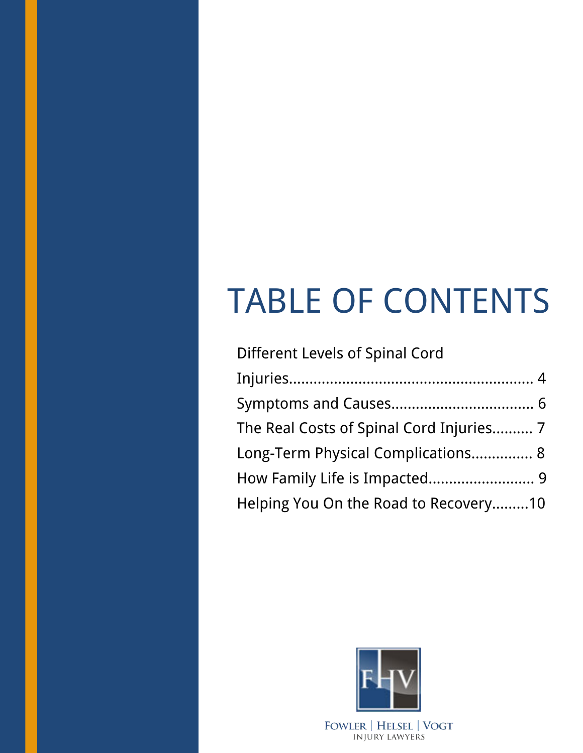# TABLE OF CONTENTS

| <b>Different Levels of Spinal Cord</b>   |
|------------------------------------------|
|                                          |
|                                          |
| The Real Costs of Spinal Cord Injuries 7 |
| Long-Term Physical Complications 8       |
| How Family Life is Impacted 9            |
| Helping You On the Road to Recovery10    |

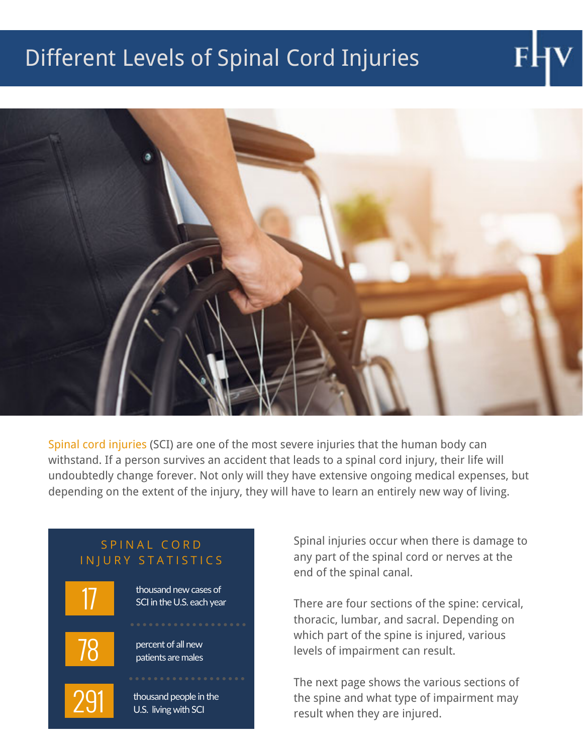# Different Levels of Spinal Cord Injuries



Spinal cord injuries (SCI) are one of the most severe injuries that the human body can withstand. If a person survives an accident that leads to a spinal cord injury, their life will undoubtedly change forever. Not only will they have extensive ongoing medical expenses, but depending on the extent of the injury, they will have to learn an entirely new way of living.



Spinal injuries occur when there is damage to any part of the spinal cord or nerves at the end of the spinal canal.

There are four sections of the spine: cervical, thoracic, lumbar, and sacral. Depending on which part of the spine is injured, various levels of impairment can result.

The next page shows the various sections of the spine and what type of impairment may result when they are injured.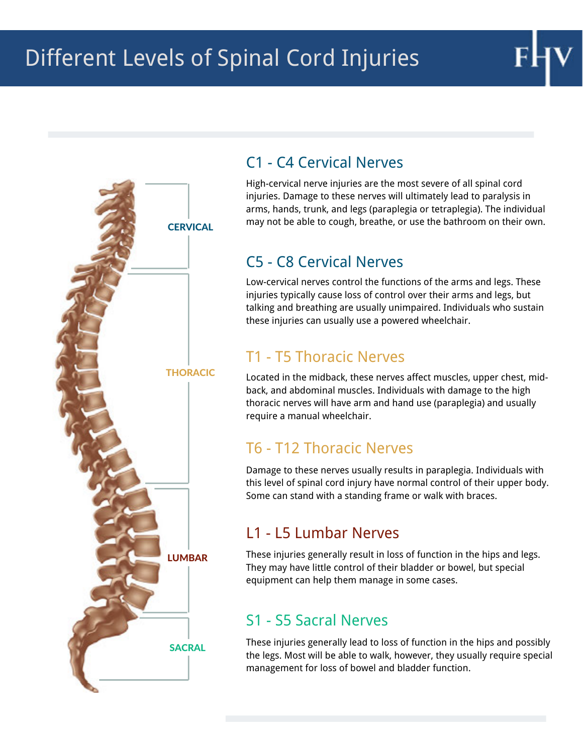# Different Levels of Spinal Cord Injuries



### C1 - C4 Cervical Nerves

High-cervical nerve injuries are the most severe of all spinal cord injuries. Damage to these nerves will ultimately lead to paralysis in arms, hands, trunk, and legs (paraplegia or tetraplegia). The individual may not be able to cough, breathe, or use the bathroom on their own.

### C5 - C8 Cervical Nerves

Low-cervical nerves control the functions of the arms and legs. These injuries typically cause loss of control over their arms and legs, but talking and breathing are usually unimpaired. Individuals who sustain these injuries can usually use a powered wheelchair.

### T1 - T5 Thoracic Nerves

Located in the midback, these nerves affect muscles, upper chest, midback, and abdominal muscles. Individuals with damage to the high thoracic nerves will have arm and hand use (paraplegia) and usually require a manual wheelchair.

### T6 - T12 Thoracic Nerves

Damage to these nerves usually results in paraplegia. Individuals with this level of spinal cord injury have normal control of their upper body. Some can stand with a standing frame or walk with braces.

### L1 - L5 Lumbar Nerves

These injuries generally result in loss of function in the hips and legs. They may have little control of their bladder or bowel, but special equipment can help them manage in some cases.

### S1 - S5 Sacral Nerves

These injuries generally lead to loss of function in the hips and possibly the legs. Most will be able to walk, however, they usually require special management for loss of bowel and bladder function.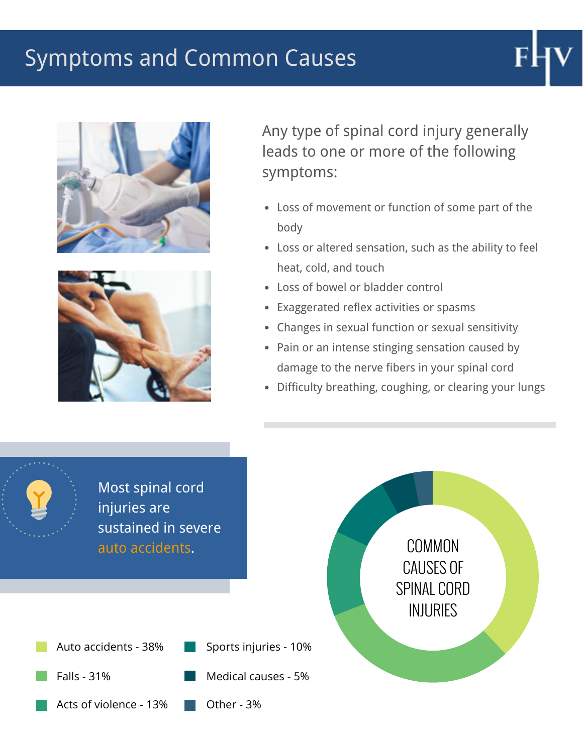## Symptoms and Common Causes





Any type of spinal cord injury generally leads to one or more of the following symptoms:

- Loss of movement or function of some part of the body
- Loss or altered sensation, such as the ability to feel heat, cold, and touch
- Loss of bowel or bladder control
- Exaggerated reflex activities or spasms
- Changes in sexual function or sexual sensitivity
- Pain or an intense stinging sensation caused by damage to the nerve fibers in your spinal cord
- Difficulty breathing, coughing, or clearing your lungs

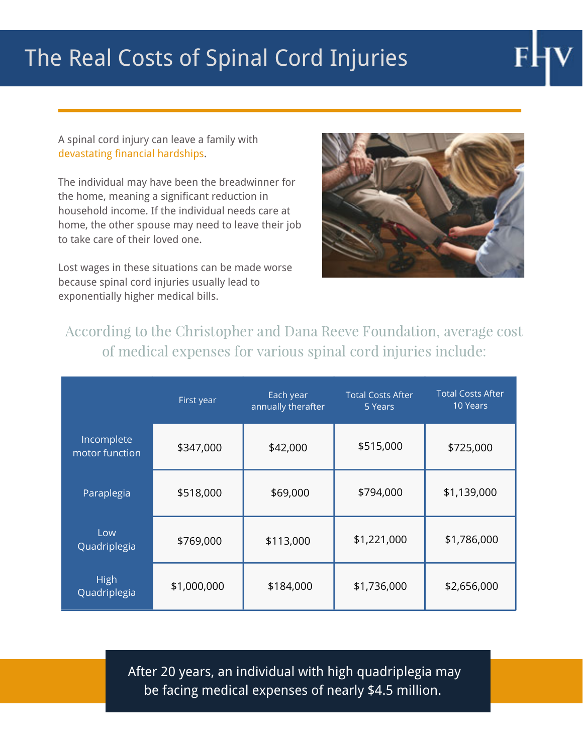# The Real Costs of Spinal Cord Injuries

A spinal cord injury can leave a family with devastating financial hardships.

The individual may have been the breadwinner for the home, meaning a significant reduction in household income. If the individual needs care at home, the other spouse may need to leave their job to take care of their loved one.

Lost wages in these situations can be made worse because spinal cord injuries usually lead to exponentially higher medical bills.



According to the Christopher and Dana Reeve Foundation, average cost of medical expenses for various spinal cord injuries include:

|                              | First year  | Each year<br>annually therafter | <b>Total Costs After</b><br>5 Years | <b>Total Costs After</b><br>10 Years |
|------------------------------|-------------|---------------------------------|-------------------------------------|--------------------------------------|
| Incomplete<br>motor function | \$347,000   | \$42,000                        | \$515,000                           | \$725,000                            |
| Paraplegia                   | \$518,000   | \$69,000                        | \$794,000                           | \$1,139,000                          |
| Low<br>Quadriplegia          | \$769,000   | \$113,000                       | \$1,221,000                         | \$1,786,000                          |
| <b>High</b><br>Quadriplegia  | \$1,000,000 | \$184,000                       | \$1,736,000                         | \$2,656,000                          |

After 20 years, an individual with high quadriplegia may be facing medical expenses of nearly \$4.5 million.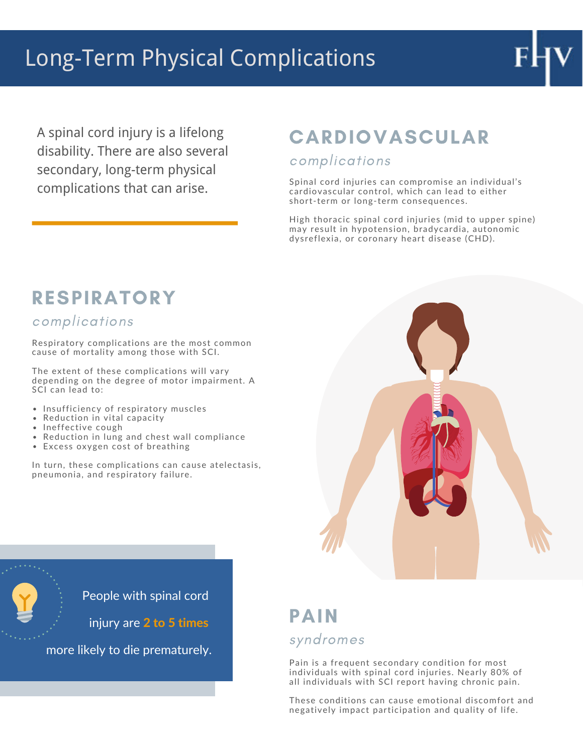# Long-Term Physical Complications

A spinal cord injury is a lifelong disability. There are also several secondary, long-term physical

## CARDIOVASCULAR

#### complications

**complications that can arise.** Spinal cord injuries can compromise an individual's complications that can arise. cardiovascular control, which can lead to either short-term or long-term consequences.

> High thoracic spinal cord injuries (mid to upper spine) may result in hypotension, bradycardia, autonomic dysreflexia, or coronary heart disease (CHD).

### **RESPIRATORY**

#### complications

Respiratory complications are the most common cause of mortality among those with SCI.

The extent of these complications will vary depending on the degree of motor impairment. A SCI can lead to:

- Insufficiency of respiratory muscles
- Reduction in vital capacity
- Ineffective cough
- Reduction in lung and chest wall compliance
- Excess oxygen cost of breathing

In turn, these complications can cause atelectasis, pneumonia, and respiratory failure.



**Particle Student** People with spinal cord

 $\overline{\bullet}$   $\overline{\hspace{0.1cm} \cdot \hspace{0.1cm} \cdot \hspace{0.1cm}}$  injury are 2 to 5 times

more likely to die prematurely.

### PAIN syndromes

Pain is a frequent secondary condition for most individuals with spinal cord injuries. Nearly 80% of all individuals with SCI report having chronic pain.

These conditions can cause emotional discomfort and negatively impact participation and quality of life.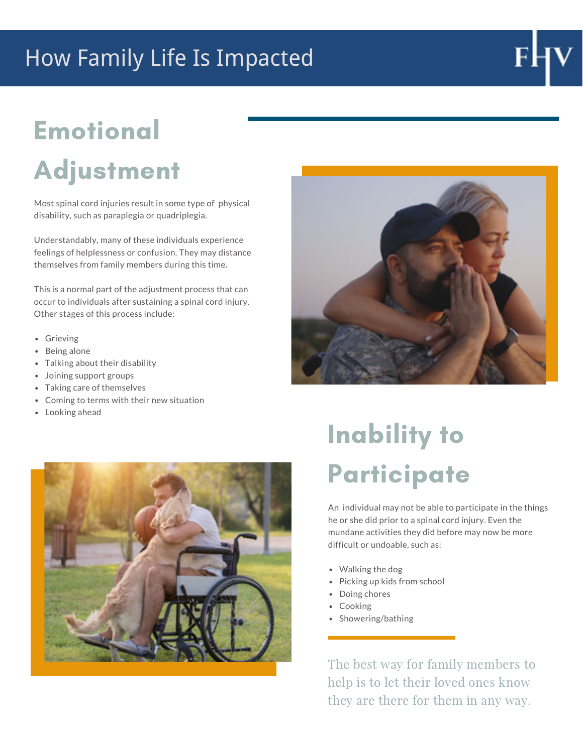# How Family Life Is Impacted

# Emotional

# Adjustment

Most spinal cord injuries result in some type of physical disability, such as paraplegia or quadriplegia.

Understandably, many of these individuals experience feelings of helplessness or confusion. They may distance themselves from family members during this time.

This is a normal part of the adjustment process that can occur to individuals after sustaining a spinal cord injury. Other stages of this process include:

- Grieving
- Being alone
- Talking about their disability
- Joining support groups
- Taking care of themselves
- Coming to terms with their new situation
- Looking ahead



# Inability to **Participate**

An individual may not be able to participate in the things he or she did prior to a spinal cord injury. Even the mundane activities they did before may now be more difficult or undoable, such as:

- Walking the dog
- Picking up kids from school
- Doing chores
- Cooking
- Showering/bathing

The best way for family members to help is to let their loved ones know they are there for them in any way.

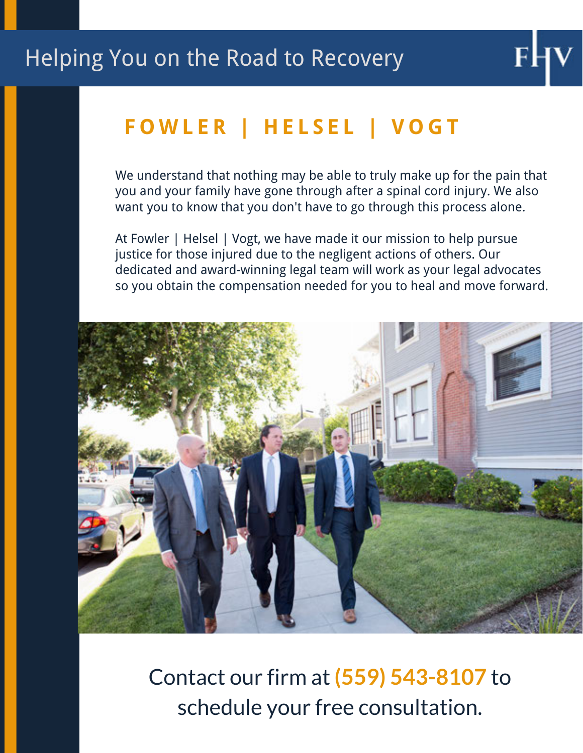# **F O W L E R | H E L S E L | V O G T**

We understand that nothing may be able to truly make up for the pain that you and your family have gone through after a spinal cord injury. We also want you to know that you don't have to go through this process alone.

At Fowler | Helsel | Vogt, we have made it our mission to help pursue justice for those injured due to the negligent actions of others. Our dedicated and award-winning legal team will work as your legal advocates so you obtain the compensation needed for you to heal and move forward.



Contact our firm at **(559) 543-8107** to schedule your free consultation.